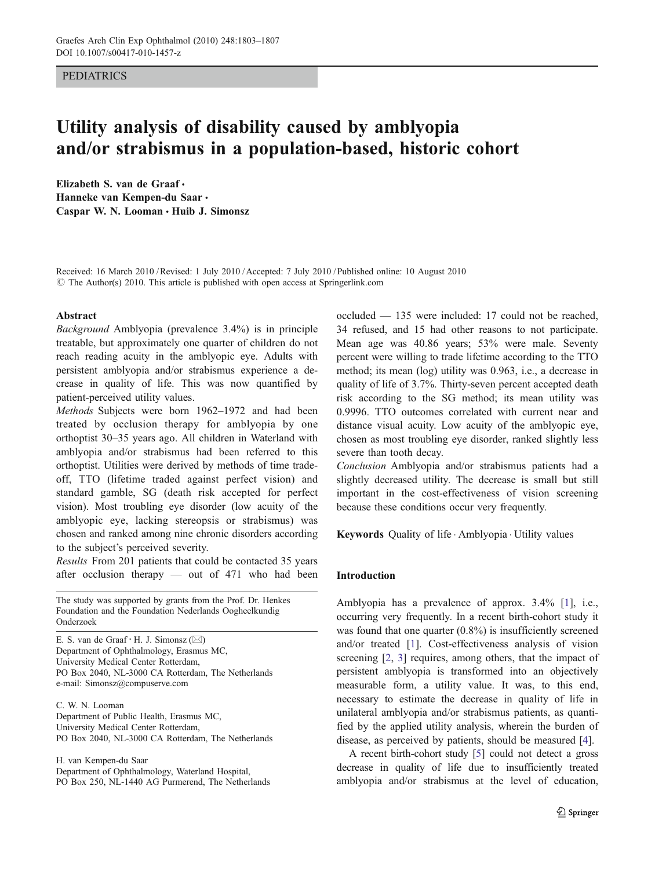## PEDIATRICS

# Utility analysis of disability caused by amblyopia and/or strabismus in a population-based, historic cohort

Elizabeth S. van de Graaf & Hanneke van Kempen-du Saar · Caspar W. N. Looman  $\cdot$  Huib J. Simonsz

Received: 16 March 2010 /Revised: 1 July 2010 /Accepted: 7 July 2010 / Published online: 10 August 2010 © The Author(s) 2010. This article is published with open access at Springerlink.com

#### Abstract

Background Amblyopia (prevalence 3.4%) is in principle treatable, but approximately one quarter of children do not reach reading acuity in the amblyopic eye. Adults with persistent amblyopia and/or strabismus experience a decrease in quality of life. This was now quantified by patient-perceived utility values.

Methods Subjects were born 1962–1972 and had been treated by occlusion therapy for amblyopia by one orthoptist 30–35 years ago. All children in Waterland with amblyopia and/or strabismus had been referred to this orthoptist. Utilities were derived by methods of time tradeoff, TTO (lifetime traded against perfect vision) and standard gamble, SG (death risk accepted for perfect vision). Most troubling eye disorder (low acuity of the amblyopic eye, lacking stereopsis or strabismus) was chosen and ranked among nine chronic disorders according to the subject's perceived severity.

Results From 201 patients that could be contacted 35 years after occlusion therapy — out of 471 who had been

The study was supported by grants from the Prof. Dr. Henkes Foundation and the Foundation Nederlands Oogheelkundig Onderzoek

E. S. van de Graaf  $\cdot$  H. J. Simonsz ( $\boxtimes$ ) Department of Ophthalmology, Erasmus MC, University Medical Center Rotterdam, PO Box 2040, NL-3000 CA Rotterdam, The Netherlands e-mail: Simonsz@compuserve.com

C. W. N. Looman Department of Public Health, Erasmus MC, University Medical Center Rotterdam, PO Box 2040, NL-3000 CA Rotterdam, The Netherlands

H. van Kempen-du Saar Department of Ophthalmology, Waterland Hospital, PO Box 250, NL-1440 AG Purmerend, The Netherlands occluded — 135 were included: 17 could not be reached, 34 refused, and 15 had other reasons to not participate. Mean age was 40.86 years; 53% were male. Seventy percent were willing to trade lifetime according to the TTO method; its mean (log) utility was 0.963, i.e., a decrease in quality of life of 3.7%. Thirty-seven percent accepted death risk according to the SG method; its mean utility was 0.9996. TTO outcomes correlated with current near and distance visual acuity. Low acuity of the amblyopic eye, chosen as most troubling eye disorder, ranked slightly less severe than tooth decay.

Conclusion Amblyopia and/or strabismus patients had a slightly decreased utility. The decrease is small but still important in the cost-effectiveness of vision screening because these conditions occur very frequently.

Keywords Quality of life . Amblyopia . Utility values

## Introduction

Amblyopia has a prevalence of approx. 3.4% [\[1](#page-4-0)], i.e., occurring very frequently. In a recent birth-cohort study it was found that one quarter (0.8%) is insufficiently screened and/or treated [\[1](#page-4-0)]. Cost-effectiveness analysis of vision screening [[2,](#page-4-0) [3\]](#page-4-0) requires, among others, that the impact of persistent amblyopia is transformed into an objectively measurable form, a utility value. It was, to this end, necessary to estimate the decrease in quality of life in unilateral amblyopia and/or strabismus patients, as quantified by the applied utility analysis, wherein the burden of disease, as perceived by patients, should be measured [\[4](#page-4-0)].

A recent birth-cohort study [\[5\]](#page-4-0) could not detect a gross decrease in quality of life due to insufficiently treated amblyopia and/or strabismus at the level of education,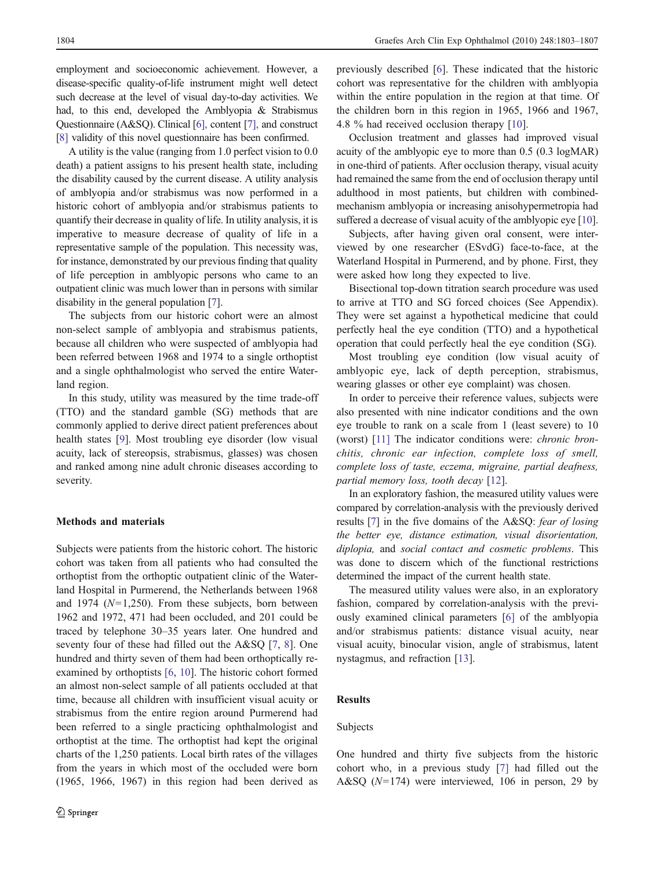employment and socioeconomic achievement. However, a disease-specific quality-of-life instrument might well detect such decrease at the level of visual day-to-day activities. We had, to this end, developed the Amblyopia & Strabismus Questionnaire (A&SQ). Clinical [\[6\],](#page-4-0) content [\[7\],](#page-4-0) and construct [\[8\]](#page-4-0) validity of this novel questionnaire has been confirmed.

A utility is the value (ranging from 1.0 perfect vision to 0.0 death) a patient assigns to his present health state, including the disability caused by the current disease. A utility analysis of amblyopia and/or strabismus was now performed in a historic cohort of amblyopia and/or strabismus patients to quantify their decrease in quality of life. In utility analysis, it is imperative to measure decrease of quality of life in a representative sample of the population. This necessity was, for instance, demonstrated by our previous finding that quality of life perception in amblyopic persons who came to an outpatient clinic was much lower than in persons with similar disability in the general population [\[7](#page-4-0)].

The subjects from our historic cohort were an almost non-select sample of amblyopia and strabismus patients, because all children who were suspected of amblyopia had been referred between 1968 and 1974 to a single orthoptist and a single ophthalmologist who served the entire Waterland region.

In this study, utility was measured by the time trade-off (TTO) and the standard gamble (SG) methods that are commonly applied to derive direct patient preferences about health states [[9\]](#page-4-0). Most troubling eye disorder (low visual acuity, lack of stereopsis, strabismus, glasses) was chosen and ranked among nine adult chronic diseases according to severity.

## Methods and materials

Subjects were patients from the historic cohort. The historic cohort was taken from all patients who had consulted the orthoptist from the orthoptic outpatient clinic of the Waterland Hospital in Purmerend, the Netherlands between 1968 and 1974 ( $N=1,250$ ). From these subjects, born between 1962 and 1972, 471 had been occluded, and 201 could be traced by telephone 30–35 years later. One hundred and seventy four of these had filled out the A&SQ [[7,](#page-4-0) [8](#page-4-0)]. One hundred and thirty seven of them had been orthoptically reexamined by orthoptists [\[6,](#page-4-0) [10](#page-4-0)]. The historic cohort formed an almost non-select sample of all patients occluded at that time, because all children with insufficient visual acuity or strabismus from the entire region around Purmerend had been referred to a single practicing ophthalmologist and orthoptist at the time. The orthoptist had kept the original charts of the 1,250 patients. Local birth rates of the villages from the years in which most of the occluded were born (1965, 1966, 1967) in this region had been derived as previously described [\[6](#page-4-0)]. These indicated that the historic cohort was representative for the children with amblyopia within the entire population in the region at that time. Of the children born in this region in 1965, 1966 and 1967, 4.8 % had received occlusion therapy [\[10](#page-4-0)].

Occlusion treatment and glasses had improved visual acuity of the amblyopic eye to more than 0.5 (0.3 logMAR) in one-third of patients. After occlusion therapy, visual acuity had remained the same from the end of occlusion therapy until adulthood in most patients, but children with combinedmechanism amblyopia or increasing anisohypermetropia had suffered a decrease of visual acuity of the amblyopic eye [[10\]](#page-4-0).

Subjects, after having given oral consent, were interviewed by one researcher (ESvdG) face-to-face, at the Waterland Hospital in Purmerend, and by phone. First, they were asked how long they expected to live.

Bisectional top-down titration search procedure was used to arrive at TTO and SG forced choices (See Appendix). They were set against a hypothetical medicine that could perfectly heal the eye condition (TTO) and a hypothetical operation that could perfectly heal the eye condition (SG).

Most troubling eye condition (low visual acuity of amblyopic eye, lack of depth perception, strabismus, wearing glasses or other eye complaint) was chosen.

In order to perceive their reference values, subjects were also presented with nine indicator conditions and the own eye trouble to rank on a scale from 1 (least severe) to 10 (worst) [[11\]](#page-4-0) The indicator conditions were: chronic bronchitis, chronic ear infection, complete loss of smell, complete loss of taste, eczema, migraine, partial deafness, partial memory loss, tooth decay [[12\]](#page-4-0).

In an exploratory fashion, the measured utility values were compared by correlation-analysis with the previously derived results [\[7](#page-4-0)] in the five domains of the A&SQ: fear of losing the better eye, distance estimation, visual disorientation, diplopia, and social contact and cosmetic problems. This was done to discern which of the functional restrictions determined the impact of the current health state.

The measured utility values were also, in an exploratory fashion, compared by correlation-analysis with the previously examined clinical parameters [[6\]](#page-4-0) of the amblyopia and/or strabismus patients: distance visual acuity, near visual acuity, binocular vision, angle of strabismus, latent nystagmus, and refraction [[13\]](#page-4-0).

## Results

## Subjects

One hundred and thirty five subjects from the historic cohort who, in a previous study [[7\]](#page-4-0) had filled out the A&SQ  $(N=174)$  were interviewed, 106 in person, 29 by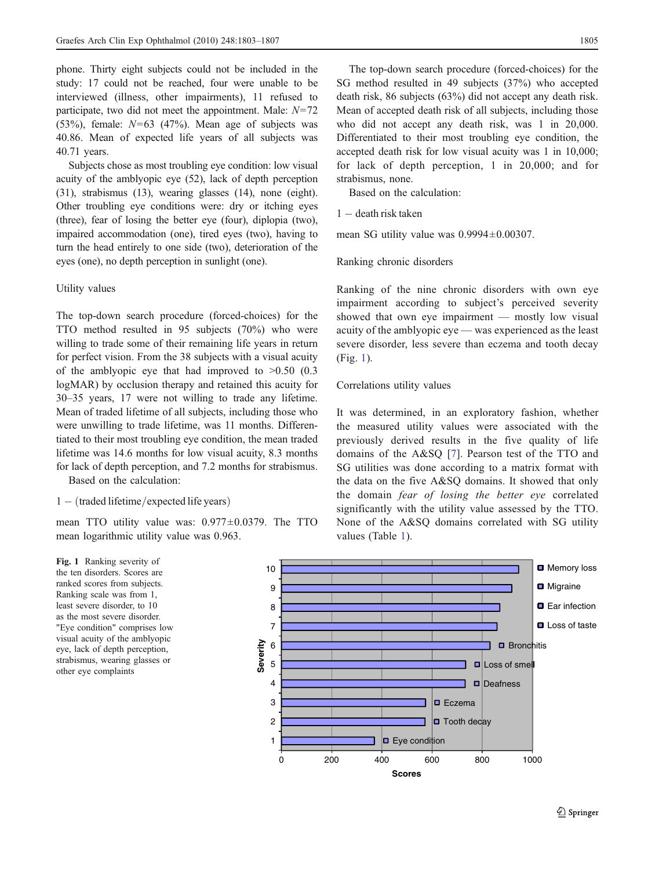phone. Thirty eight subjects could not be included in the study: 17 could not be reached, four were unable to be interviewed (illness, other impairments), 11 refused to participate, two did not meet the appointment. Male:  $N=72$ (53%), female:  $N=63$  (47%). Mean age of subjects was 40.86. Mean of expected life years of all subjects was 40.71 years.

Subjects chose as most troubling eye condition: low visual acuity of the amblyopic eye (52), lack of depth perception (31), strabismus (13), wearing glasses (14), none (eight). Other troubling eye conditions were: dry or itching eyes (three), fear of losing the better eye (four), diplopia (two), impaired accommodation (one), tired eyes (two), having to turn the head entirely to one side (two), deterioration of the eyes (one), no depth perception in sunlight (one).

## Utility values

The top-down search procedure (forced-choices) for the TTO method resulted in 95 subjects (70%) who were willing to trade some of their remaining life years in return for perfect vision. From the 38 subjects with a visual acuity of the amblyopic eye that had improved to  $>0.50$  (0.3) logMAR) by occlusion therapy and retained this acuity for 30–35 years, 17 were not willing to trade any lifetime. Mean of traded lifetime of all subjects, including those who were unwilling to trade lifetime, was 11 months. Differentiated to their most troubling eye condition, the mean traded lifetime was 14.6 months for low visual acuity, 8.3 months for lack of depth perception, and 7.2 months for strabismus.

Based on the calculation:

## $1 - (traded lifetime/expected life years)$

mean TTO utility value was: 0.977±0.0379. The TTO mean logarithmic utility value was 0.963.

The top-down search procedure (forced-choices) for the SG method resulted in 49 subjects (37%) who accepted death risk, 86 subjects (63%) did not accept any death risk. Mean of accepted death risk of all subjects, including those who did not accept any death risk, was 1 in 20,000. Differentiated to their most troubling eye condition, the accepted death risk for low visual acuity was 1 in 10,000; for lack of depth perception, 1 in 20,000; and for strabismus, none.

Based on the calculation:

 $1 -$  death risk taken

mean SG utility value was 0.9994±0.00307.

Ranking chronic disorders

Ranking of the nine chronic disorders with own eye impairment according to subject's perceived severity showed that own eye impairment — mostly low visual acuity of the amblyopic eye — was experienced as the least severe disorder, less severe than eczema and tooth decay (Fig. 1).

## Correlations utility values

It was determined, in an exploratory fashion, whether the measured utility values were associated with the previously derived results in the five quality of life domains of the A&SQ [\[7](#page-4-0)]. Pearson test of the TTO and SG utilities was done according to a matrix format with the data on the five A&SQ domains. It showed that only the domain fear of losing the better eye correlated significantly with the utility value assessed by the TTO. None of the A&SQ domains correlated with SG utility values (Table [1](#page-3-0)).

Fig. 1 Ranking severity of the ten disorders. Scores are ranked scores from subjects. Ranking scale was from 1, least severe disorder, to 10 as the most severe disorder. "Eye condition" comprises low visual acuity of the amblyopic eye, lack of depth perception, strabismus, wearing glasses or other eye complaints

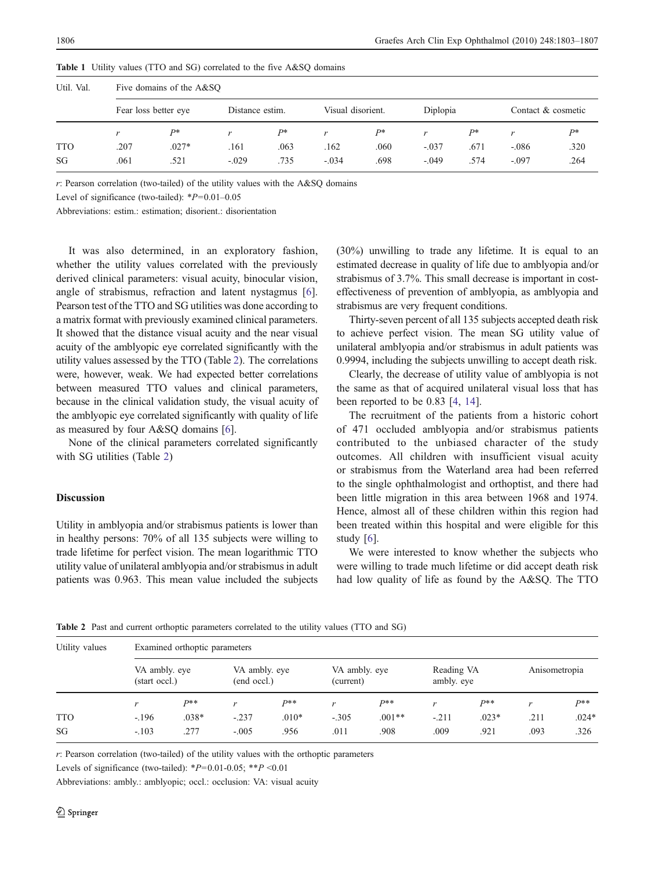| Util. Val. | Five domains of the A&SQ |         |                 |      |                   |      |          |      |                    |       |  |
|------------|--------------------------|---------|-----------------|------|-------------------|------|----------|------|--------------------|-------|--|
|            | Fear loss better eye     |         | Distance estim. |      | Visual disorient. |      | Diplopia |      | Contact & cosmetic |       |  |
|            | $\mathbf{v}$             | $P*$    |                 | $P*$ | r                 | $p*$ | r        | $P*$ |                    | $P^*$ |  |
| <b>TTO</b> | .207                     | $.027*$ | .161            | .063 | .162              | .060 | $-.037$  | .671 | $-.086$            | .320  |  |
| SG         | .061                     | .521    | $-.029$         | .735 | $-.034$           | .698 | $-.049$  | .574 | $-.097$            | .264  |  |

<span id="page-3-0"></span>Table 1 Utility values (TTO and SG) correlated to the five A&SQ domains

 $r$ : Pearson correlation (two-tailed) of the utility values with the A&SQ domains

Level of significance (two-tailed):  $*P=0.01-0.05$ 

Abbreviations: estim.: estimation; disorient.: disorientation

It was also determined, in an exploratory fashion, whether the utility values correlated with the previously derived clinical parameters: visual acuity, binocular vision, angle of strabismus, refraction and latent nystagmus [\[6](#page-4-0)]. Pearson test of the TTO and SG utilities was done according to a matrix format with previously examined clinical parameters. It showed that the distance visual acuity and the near visual acuity of the amblyopic eye correlated significantly with the utility values assessed by the TTO (Table 2). The correlations were, however, weak. We had expected better correlations between measured TTO values and clinical parameters, because in the clinical validation study, the visual acuity of the amblyopic eye correlated significantly with quality of life as measured by four A&SQ domains [[6\]](#page-4-0).

None of the clinical parameters correlated significantly with SG utilities (Table 2)

#### Discussion

Utility in amblyopia and/or strabismus patients is lower than in healthy persons: 70% of all 135 subjects were willing to trade lifetime for perfect vision. The mean logarithmic TTO utility value of unilateral amblyopia and/or strabismus in adult patients was 0.963. This mean value included the subjects (30%) unwilling to trade any lifetime. It is equal to an estimated decrease in quality of life due to amblyopia and/or strabismus of 3.7%. This small decrease is important in costeffectiveness of prevention of amblyopia, as amblyopia and strabismus are very frequent conditions.

Thirty-seven percent of all 135 subjects accepted death risk to achieve perfect vision. The mean SG utility value of unilateral amblyopia and/or strabismus in adult patients was 0.9994, including the subjects unwilling to accept death risk.

Clearly, the decrease of utility value of amblyopia is not the same as that of acquired unilateral visual loss that has been reported to be 0.83 [[4,](#page-4-0) [14\]](#page-4-0).

The recruitment of the patients from a historic cohort of 471 occluded amblyopia and/or strabismus patients contributed to the unbiased character of the study outcomes. All children with insufficient visual acuity or strabismus from the Waterland area had been referred to the single ophthalmologist and orthoptist, and there had been little migration in this area between 1968 and 1974. Hence, almost all of these children within this region had been treated within this hospital and were eligible for this study [\[6](#page-4-0)].

We were interested to know whether the subjects who were willing to trade much lifetime or did accept death risk had low quality of life as found by the A&SQ. The TTO

| Utility values | Examined orthoptic parameters  |         |                              |         |                            |          |                          |         |               |          |
|----------------|--------------------------------|---------|------------------------------|---------|----------------------------|----------|--------------------------|---------|---------------|----------|
|                | VA ambly, eye<br>(start occl.) |         | VA ambly, eye<br>(end occl.) |         | VA ambly, eye<br>(current) |          | Reading VA<br>ambly, eye |         | Anisometropia |          |
|                | $\mathbf{r}$                   | $P**$   | $\mathbf{z}^*$               | $P**$   |                            | $P**$    | r                        | $p**$   | r             | $P^{**}$ |
| <b>TTO</b>     | $-196$                         | $.038*$ | $-.237$                      | $.010*$ | $-.305$                    | $.001**$ | $-.211$                  | $.023*$ | .211          | $.024*$  |
| SG             | $-.103$                        | .277    | $-.005$                      | .956    | .011                       | .908     | .009                     | .921    | .093          | .326     |

Table 2 Past and current orthoptic parameters correlated to the utility values (TTO and SG)

 $r$ : Pearson correlation (two-tailed) of the utility values with the orthoptic parameters

Levels of significance (two-tailed): \* $P=0.01-0.05$ ; \*\* $P < 0.01$ 

Abbreviations: ambly.: amblyopic; occl.: occlusion: VA: visual acuity